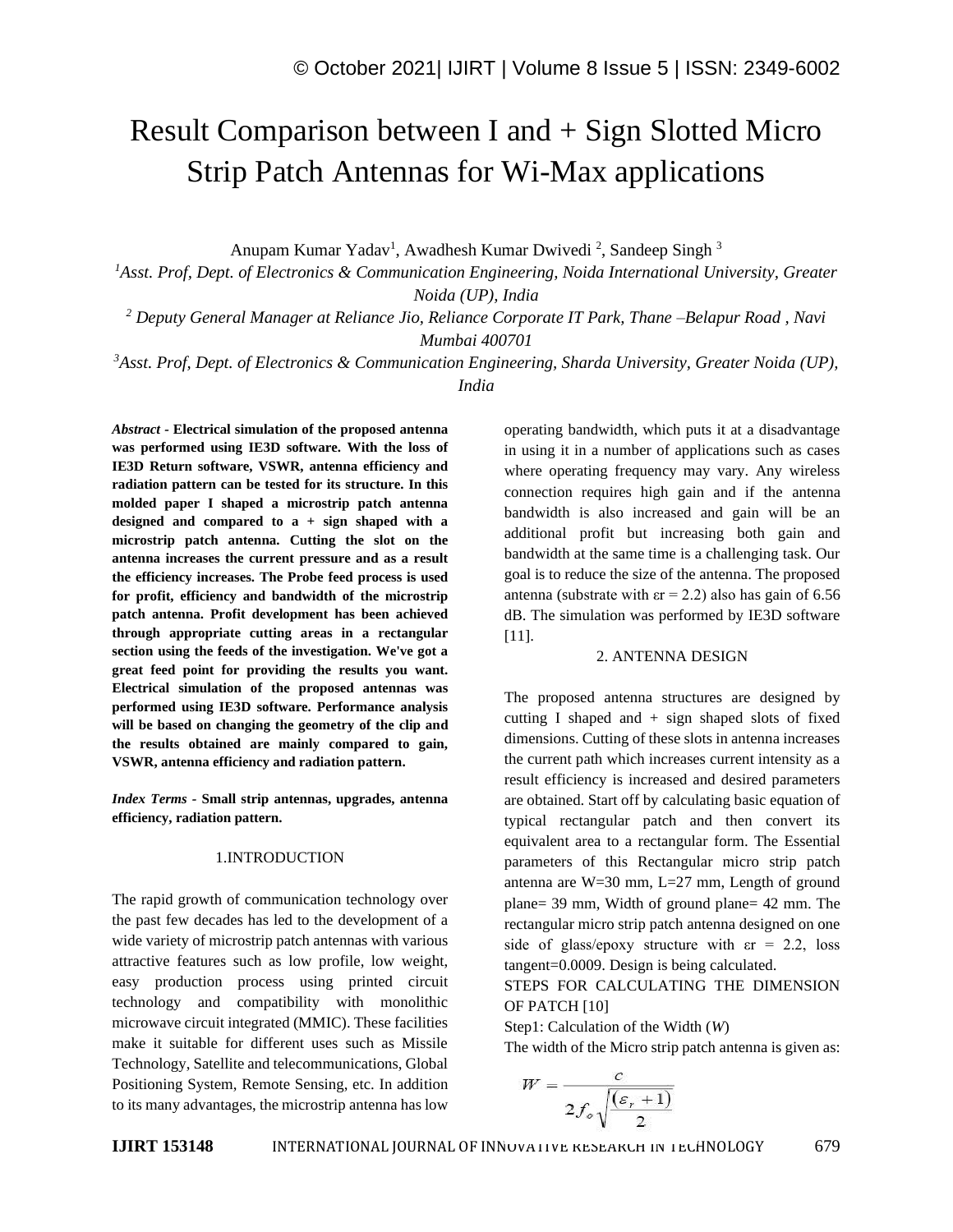# Result Comparison between I and + Sign Slotted Micro Strip Patch Antennas for Wi-Max applications

Anupam Kumar Yadav<sup>1</sup>, Awadhesh Kumar Dwivedi<sup>2</sup>, Sandeep Singh<sup>3</sup>

*<sup>1</sup>Asst. Prof, Dept. of Electronics & Communication Engineering, Noida International University, Greater Noida (UP), India*

*<sup>2</sup> Deputy General Manager at Reliance Jio, Reliance Corporate IT Park, Thane –Belapur Road , Navi Mumbai 400701*

*<sup>3</sup>Asst. Prof, Dept. of Electronics & Communication Engineering, Sharda University, Greater Noida (UP), India*

*Abstract -* **Electrical simulation of the proposed antenna was performed using IE3D software. With the loss of IE3D Return software, VSWR, antenna efficiency and radiation pattern can be tested for its structure. In this molded paper I shaped a microstrip patch antenna designed and compared to a + sign shaped with a microstrip patch antenna. Cutting the slot on the antenna increases the current pressure and as a result the efficiency increases. The Probe feed process is used for profit, efficiency and bandwidth of the microstrip patch antenna. Profit development has been achieved through appropriate cutting areas in a rectangular section using the feeds of the investigation. We've got a great feed point for providing the results you want. Electrical simulation of the proposed antennas was performed using IE3D software. Performance analysis will be based on changing the geometry of the clip and the results obtained are mainly compared to gain, VSWR, antenna efficiency and radiation pattern.**

*Index Terms -* **Small strip antennas, upgrades, antenna efficiency, radiation pattern.**

#### 1.INTRODUCTION

The rapid growth of communication technology over the past few decades has led to the development of a wide variety of microstrip patch antennas with various attractive features such as low profile, low weight, easy production process using printed circuit technology and compatibility with monolithic microwave circuit integrated (MMIC). These facilities make it suitable for different uses such as Missile Technology, Satellite and telecommunications, Global Positioning System, Remote Sensing, etc. In addition to its many advantages, the microstrip antenna has low operating bandwidth, which puts it at a disadvantage in using it in a number of applications such as cases where operating frequency may vary. Any wireless connection requires high gain and if the antenna bandwidth is also increased and gain will be an additional profit but increasing both gain and bandwidth at the same time is a challenging task. Our goal is to reduce the size of the antenna. The proposed antenna (substrate with  $\epsilon = 2.2$ ) also has gain of 6.56 dB. The simulation was performed by IE3D software [11].

#### 2. ANTENNA DESIGN

The proposed antenna structures are designed by cutting I shaped and  $+$  sign shaped slots of fixed dimensions. Cutting of these slots in antenna increases the current path which increases current intensity as a result efficiency is increased and desired parameters are obtained. Start off by calculating basic equation of typical rectangular patch and then convert its equivalent area to a rectangular form. The Essential parameters of this Rectangular micro strip patch antenna are  $W=30$  mm,  $L=27$  mm, Length of ground plane= 39 mm, Width of ground plane= 42 mm. The rectangular micro strip patch antenna designed on one side of glass/epoxy structure with  $\epsilon$ r = 2.2, loss tangent=0.0009. Design is being calculated.

STEPS FOR CALCULATING THE DIMENSION OF PATCH [10]

Step1: Calculation of the Width (*W*)

The width of the Micro strip patch antenna is given as:

$$
W = \frac{c}{2f_o\sqrt{\frac{(\varepsilon_r + 1)}{2}}}
$$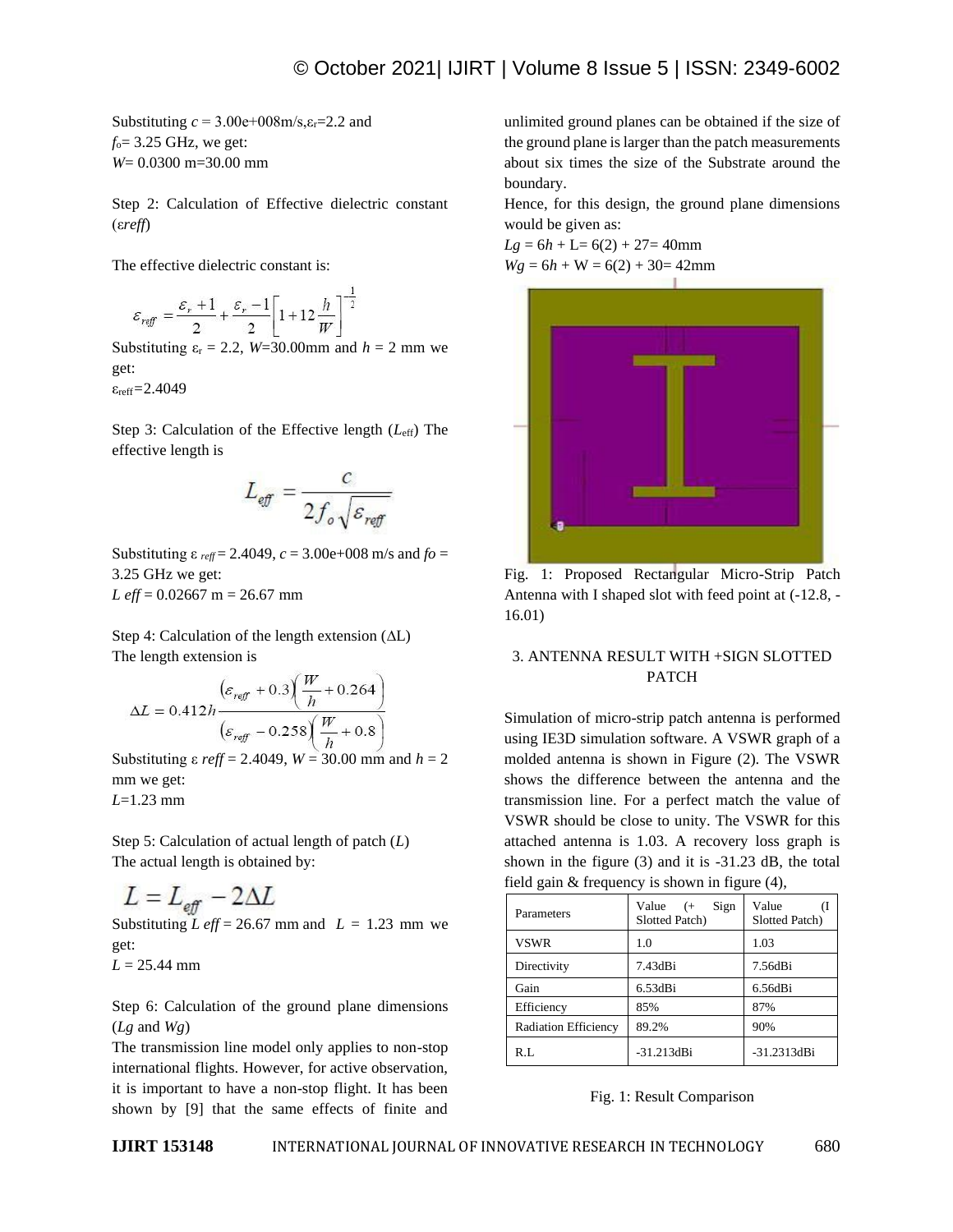Substituting  $c = 3.00e + 008m/s, \epsilon_r = 2.2$  and *f*o= 3.25 GHz, we get: *W*= 0.0300 m=30.00 mm

Step 2: Calculation of Effective dielectric constant (ε*reff*)

The effective dielectric constant is:

$$
\varepsilon_{\text{ref}} = \frac{\varepsilon_r + 1}{2} + \frac{\varepsilon_r - 1}{2} \left[ 1 + 12 \frac{h}{W} \right]^{-\frac{1}{2}}
$$

Substituting  $\varepsilon_r = 2.2$ , *W*=30.00mm and *h* = 2 mm we get:

εreff*=*2.4049

Step 3: Calculation of the Effective length (*L*eff) The effective length is

$$
L_{\text{eff}} = \frac{c}{2f_o\sqrt{\varepsilon_{\text{reff}}}}
$$

Substituting ε *reff* = 2.4049, *c* = 3.00e+008 m/s and *fo* = 3.25 GHz we get:  $L$  *eff* = 0.02667 m = 26.67 mm

Step 4: Calculation of the length extension (∆L) The length extension is

$$
\Delta L = 0.412h \frac{\left(\varepsilon_{\text{reff}} + 0.3\right)\left(\frac{W}{h} + 0.264\right)}{\left(\varepsilon_{\text{reff}} - 0.258\right)\left(\frac{W}{h} + 0.8\right)}
$$

Substituting ε *reff* = 2.4049, *W* = 30.00 mm and *h* = 2 mm we get: *L*=1.23 mm

Step 5: Calculation of actual length of patch (*L*) The actual length is obtained by:

$$
L = L_{\text{eff}} - 2\Delta L
$$

Substituting *L* eff = 26.67 mm and  $L = 1.23$  mm we get:

 $L = 25.44$  mm

Step 6: Calculation of the ground plane dimensions (*Lg* and *Wg*)

The transmission line model only applies to non-stop international flights. However, for active observation, it is important to have a non-stop flight. It has been shown by [9] that the same effects of finite and unlimited ground planes can be obtained if the size of the ground plane is larger than the patch measurements about six times the size of the Substrate around the boundary.

Hence, for this design, the ground plane dimensions would be given as:

 $Lg = 6h + L = 6(2) + 27 = 40$ mm  $Wg = 6h + W = 6(2) + 30 = 42$ mm



Fig. 1: Proposed Rectangular Micro-Strip Patch Antenna with I shaped slot with feed point at (-12.8, - 16.01)

## 3. ANTENNA RESULT WITH +SIGN SLOTTED PATCH

Simulation of micro-strip patch antenna is performed using IE3D simulation software. A VSWR graph of a molded antenna is shown in Figure (2). The VSWR shows the difference between the antenna and the transmission line. For a perfect match the value of VSWR should be close to unity. The VSWR for this attached antenna is 1.03. A recovery loss graph is shown in the figure (3) and it is -31.23 dB, the total field gain & frequency is shown in figure (4),

| Parameters                  | Value<br>Sign<br>$($ +<br>Slotted Patch) | Value<br>Slotted Patch) |
|-----------------------------|------------------------------------------|-------------------------|
| <b>VSWR</b>                 | 1.0                                      | 1.03                    |
| Directivity                 | 7.43dBi                                  | 7.56dBi                 |
| Gain                        | $6.53dB$ i                               | $6.56dB$ i              |
| Efficiency                  | 85%                                      | 87%                     |
| <b>Radiation Efficiency</b> | 89.2%                                    | 90%                     |
| R.L                         | $-31.213dB$ i                            | $-31.2313dBi$           |

## Fig. 1: Result Comparison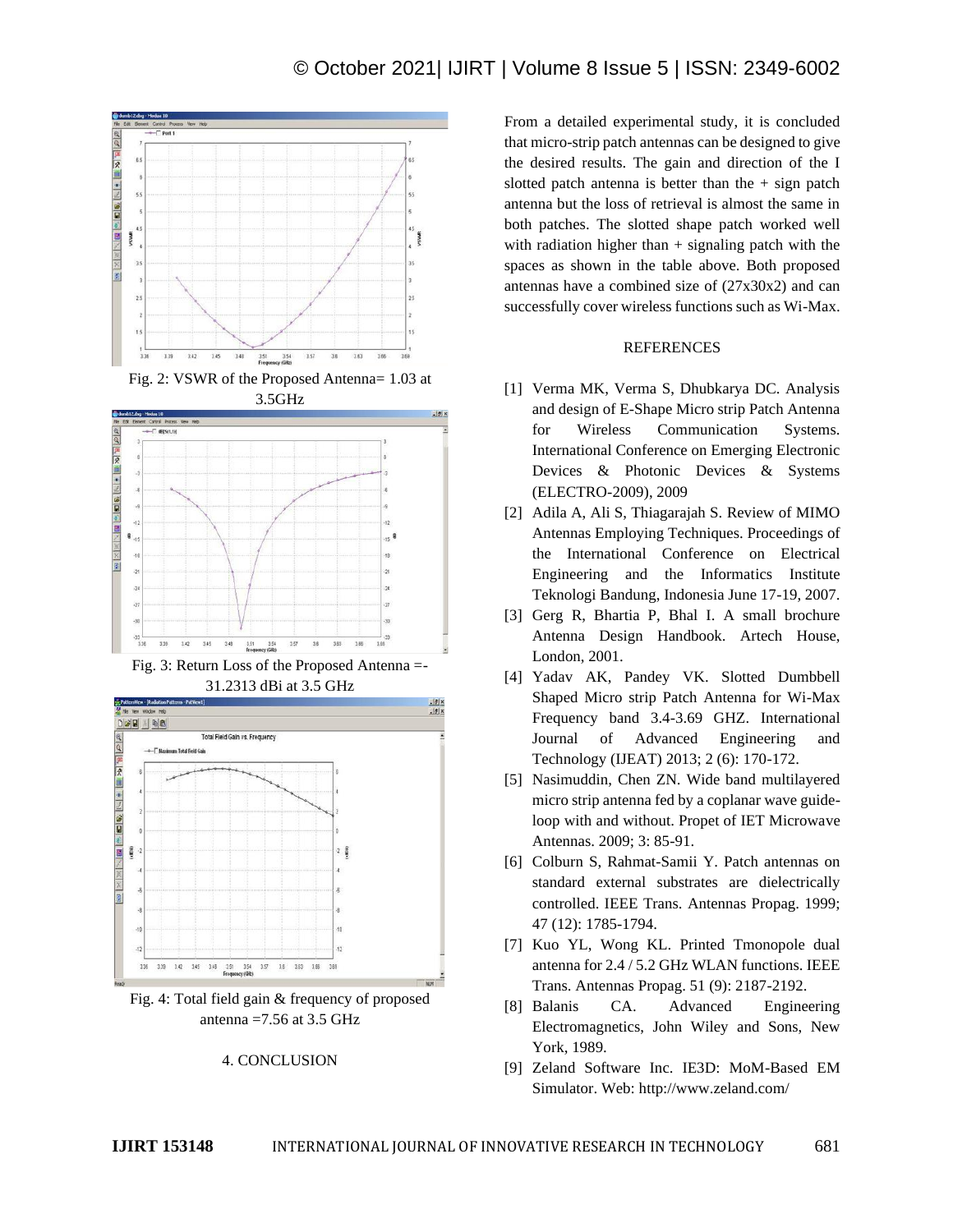

Fig. 2: VSWR of the Proposed Antenna= 1.03 at 3.5GHz



Fig. 3: Return Loss of the Proposed Antenna =- 31.2313 dBi at 3.5 GHz



Fig. 4: Total field gain & frequency of proposed antenna  $=7.56$  at 3.5 GHz

## 4. CONCLUSION

From a detailed experimental study, it is concluded that micro-strip patch antennas can be designed to give the desired results. The gain and direction of the I slotted patch antenna is better than the  $+$  sign patch antenna but the loss of retrieval is almost the same in both patches. The slotted shape patch worked well with radiation higher than  $+$  signaling patch with the spaces as shown in the table above. Both proposed antennas have a combined size of (27x30x2) and can successfully cover wireless functions such as Wi-Max.

### **REFERENCES**

- [1] Verma MK, Verma S, Dhubkarya DC. Analysis and design of E-Shape Micro strip Patch Antenna for Wireless Communication Systems. International Conference on Emerging Electronic Devices & Photonic Devices & Systems (ELECTRO-2009), 2009
- [2] Adila A, Ali S, Thiagarajah S. Review of MIMO Antennas Employing Techniques. Proceedings of the International Conference on Electrical Engineering and the Informatics Institute Teknologi Bandung, Indonesia June 17-19, 2007.
- [3] Gerg R, Bhartia P, Bhal I. A small brochure Antenna Design Handbook. Artech House, London, 2001.
- [4] Yadav AK, Pandey VK. Slotted Dumbbell Shaped Micro strip Patch Antenna for Wi-Max Frequency band 3.4-3.69 GHZ. International Journal of Advanced Engineering and Technology (IJEAT) 2013; 2 (6): 170-172.
- [5] Nasimuddin, Chen ZN. Wide band multilayered micro strip antenna fed by a coplanar wave guideloop with and without. Propet of IET Microwave Antennas. 2009; 3: 85-91.
- [6] Colburn S, Rahmat-Samii Y. Patch antennas on standard external substrates are dielectrically controlled. IEEE Trans. Antennas Propag. 1999; 47 (12): 1785-1794.
- [7] Kuo YL, Wong KL. Printed Tmonopole dual antenna for 2.4 / 5.2 GHz WLAN functions. IEEE Trans. Antennas Propag. 51 (9): 2187-2192.
- [8] Balanis CA. Advanced Engineering Electromagnetics, John Wiley and Sons, New York, 1989.
- [9] Zeland Software Inc. IE3D: MoM-Based EM Simulator. Web: http://www.zeland.com/